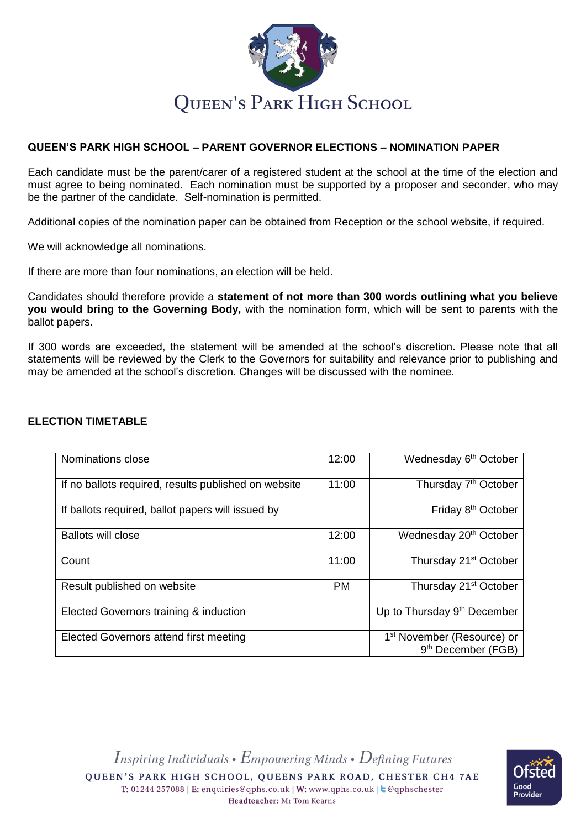

# **QUEEN'S PARK HIGH SCHOOL – PARENT GOVERNOR ELECTIONS – NOMINATION PAPER**

Each candidate must be the parent/carer of a registered student at the school at the time of the election and must agree to being nominated. Each nomination must be supported by a proposer and seconder, who may be the partner of the candidate. Self-nomination is permitted.

Additional copies of the nomination paper can be obtained from Reception or the school website, if required.

We will acknowledge all nominations.

If there are more than four nominations, an election will be held.

Candidates should therefore provide a **statement of not more than 300 words outlining what you believe you would bring to the Governing Body,** with the nomination form, which will be sent to parents with the ballot papers.

If 300 words are exceeded, the statement will be amended at the school's discretion. Please note that all statements will be reviewed by the Clerk to the Governors for suitability and relevance prior to publishing and may be amended at the school's discretion. Changes will be discussed with the nominee.

| Nominations close                                    | 12:00     | Wednesday 6 <sup>th</sup> October                                        |
|------------------------------------------------------|-----------|--------------------------------------------------------------------------|
| If no ballots required, results published on website | 11:00     | Thursday 7 <sup>th</sup> October                                         |
| If ballots required, ballot papers will issued by    |           | Friday 8 <sup>th</sup> October                                           |
| <b>Ballots will close</b>                            | 12:00     | Wednesday 20 <sup>th</sup> October                                       |
| Count                                                | 11:00     | Thursday 21 <sup>st</sup> October                                        |
| Result published on website                          | <b>PM</b> | Thursday 21 <sup>st</sup> October                                        |
| Elected Governors training & induction               |           | Up to Thursday 9 <sup>th</sup> December                                  |
| Elected Governors attend first meeting               |           | 1 <sup>st</sup> November (Resource) or<br>9 <sup>th</sup> December (FGB) |

## **ELECTION TIMETABLE**

Inspiring Individuals •  $E$ mpowering Minds •  $D$ efining Futures QUEEN'S PARK HIGH SCHOOL, QUEENS PARK ROAD, CHESTER CH4 7AE T: 01244 257088 | E: enquiries@qphs.co.uk | W: www.qphs.co.uk | c @qphschester Headteacher: Mr Tom Kearns